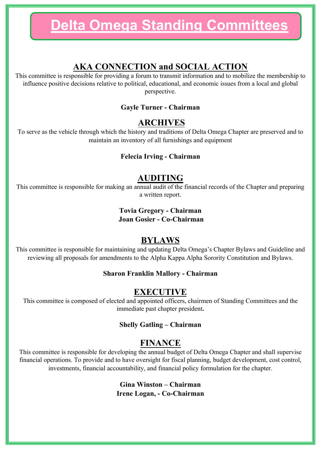## **AKA CONNECTION and SOCIAL ACTION**

This committee is responsible for providing a forum to transmit information and to mobilize the membership to influence positive decisions relative to political, educational, and economic issues from a local and global perspective.

#### **Gayle Turner - Chairman**

### **ARCHIVES**

To serve as the vehicle through which the history and traditions of Delta Omega Chapter are preserved and to maintain an inventory of all furnishings and equipment

#### **Felecia Irving - Chairman**

### **AUDITING**

This committee is responsible for making an annual audit of the financial records of the Chapter and preparing a written report.

#### **Tovia Gregory - Chairman Joan Gosier - Co-Chairman**

## **BYLAWS**

This committee is responsible for maintaining and updating Delta Omega's Chapter Bylaws and Guideline and reviewing all proposals for amendments to the Alpha Kappa Alpha Sorority Constitution and Bylaws.

#### **Sharon Franklin Mallory - Chairman**

### **EXECUTIVE**

This committee is composed of elected and appointed officers, chairmen of Standing Committees and the immediate past chapter president**.**

#### **Shelly Gatling – Chairman**

### **FINANCE**

This committee is responsible for developing the annual budget of Delta Omega Chapter and shall supervise financial operations. To provide and to have oversight for fiscal planning, budget development, cost control, investments, financial accountability, and financial policy formulation for the chapter.

> **Gina Winston – Chairman Irene Logan, - Co-Chairman**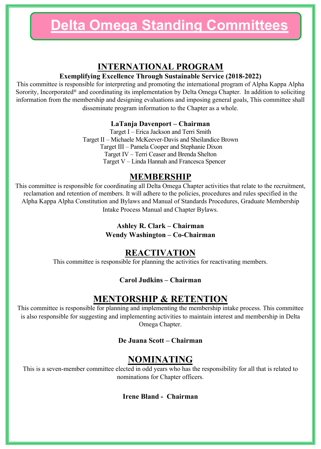## **INTERNATIONAL PROGRAM**

#### **Exemplifying Excellence Through Sustainable Service (2018-2022)**

This committee is responsible for interpreting and promoting the international program of Alpha Kappa Alpha Sorority, Incorporated® and coordinating its implementation by Delta Omega Chapter. In addition to soliciting information from the membership and designing evaluations and imposing general goals, This committee shall disseminate program information to the Chapter as a whole.

#### **LaTanja Davenport – Chairman**

Target I – Erica Jackson and Terri Smith Target II – Michaele McKeever-Davis and Sheilandice Brown Target III – Pamela Cooper and Stephanie Dixon Target IV – Terri Ceaser and Brenda Shelton Target V – Linda Hannah and Francesca Spencer

## **MEMBERSHIP**

This committee is responsible for coordinating all Delta Omega Chapter activities that relate to the recruitment, reclamation and retention of members. It will adhere to the policies, procedures and rules specified in the Alpha Kappa Alpha Constitution and Bylaws and Manual of Standards Procedures, Graduate Membership Intake Process Manual and Chapter Bylaws.

> **Ashley R. Clark – Chairman Wendy Washington – Co-Chairman**

## **REACTIVATION**

This committee is responsible for planning the activities for reactivating members.

#### **Carol Judkins – Chairman**

## **MENTORSHIP & RETENTION**

This committee is responsible for planning and implementing the membership intake process. This committee is also responsible for suggesting and implementing activities to maintain interest and membership in Delta Omega Chapter.

#### **De Juana Scott – Chairman**

## **NOMINATING**

This is a seven-member committee elected in odd years who has the responsibility for all that is related to nominations for Chapter officers.

#### **Irene Bland - Chairman**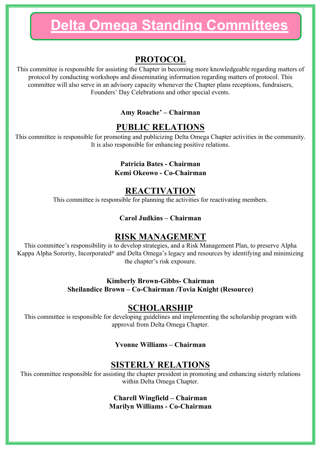## **PROTOCOL**

This committee is responsible for assisting the Chapter in becoming more knowledgeable regarding matters of protocol by conducting workshops and disseminating information regarding matters of protocol. This committee will also serve in an advisory capacity whenever the Chapter plans receptions, fundraisers, Founders' Day Celebrations and other special events.

#### **Amy Roache' – Chairman**

## **PUBLIC RELATIONS**

This committee is responsible for promoting and publicizing Delta Omega Chapter activities in the community. It is also responsible for enhancing positive relations.

#### **Patricia Bates - Chairman**

**Kemi Okeowo - Co-Chairman**

## **REACTIVATION**

This committee is responsible for planning the activities for reactivating members.

#### **Carol Judkins – Chairman**

## **RISK MANAGEMENT**

This committee's responsibility is to develop strategies, and a Risk Management Plan, to preserve Alpha Kappa Alpha Sorority, Incorporated® and Delta Omega's legacy and resources by identifying and minimizing the chapter's risk exposure.

#### **Kimberly Brown-Gibbs- Chairman Sheilandice Brown – Co-Chairman /Tovia Knight (Resource)**

## **SCHOLARSHIP**

This committee is responsible for developing guidelines and implementing the scholarship program with approval from Delta Omega Chapter.

#### **Yvonne Williams – Chairman**

## **SISTERLY RELATIONS**

This committee responsible for assisting the chapter president in promoting and enhancing sisterly relations within Delta Omega Chapter.

#### **Charell Wingfield – Chairman Marilyn Williams - Co-Chairman**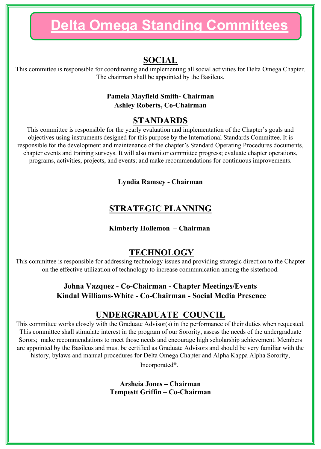## **SOCIAL**

This committee is responsible for coordinating and implementing all social activities for Delta Omega Chapter. The chairman shall be appointed by the Basileus.

#### **Pamela Mayfield Smith- Chairman Ashley Roberts, Co-Chairman**

## **STANDARDS**

This committee is responsible for the yearly evaluation and implementation of the Chapter's goals and objectives using instruments designed for this purpose by the International Standards Committee. It is responsible for the development and maintenance of the chapter's Standard Operating Procedures documents, chapter events and training surveys. It will also monitor committee progress; evaluate chapter operations, programs, activities, projects, and events; and make recommendations for continuous improvements.

#### **Lyndia Ramsey - Chairman**

# **STRATEGIC PLANNING**

#### **Kimberly Hollemon – Chairman**

## **TECHNOLOGY**

This committee is responsible for addressing technology issues and providing strategic direction to the Chapter on the effective utilization of technology to increase communication among the sisterhood.

### **Johna Vazquez - Co-Chairman - Chapter Meetings/Events Kindal Williams-White - Co-Chairman - Social Media Presence**

## **UNDERGRADUATE COUNCIL**

This committee works closely with the Graduate Advisor(s) in the performance of their duties when requested. This committee shall stimulate interest in the program of our Sorority, assess the needs of the undergraduate Sorors; make recommendations to meet those needs and encourage high scholarship achievement. Members are appointed by the Basileus and must be certified as Graduate Advisors and should be very familiar with the history, bylaws and manual procedures for Delta Omega Chapter and Alpha Kappa Alpha Sorority,

Incorporated®.

**Arsheia Jones – Chairman Tempestt Griffin – Co-Chairman**